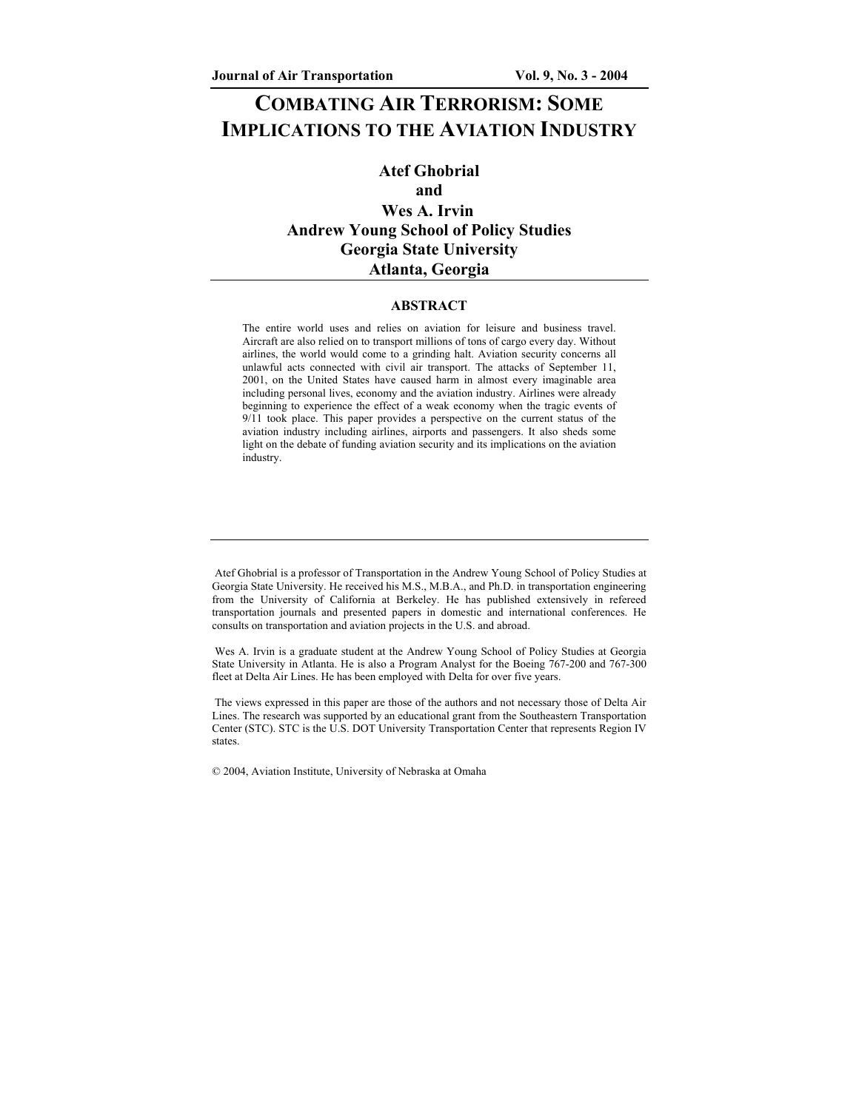# **COMBATING AIR TERRORISM: SOME IMPLICATIONS TO THE AVIATION INDUSTRY**

# **Atef Ghobrial and Wes A. Irvin Andrew Young School of Policy Studies Georgia State University Atlanta, Georgia**

#### **ABSTRACT**

The entire world uses and relies on aviation for leisure and business travel. Aircraft are also relied on to transport millions of tons of cargo every day. Without airlines, the world would come to a grinding halt. Aviation security concerns all unlawful acts connected with civil air transport. The attacks of September 11, 2001, on the United States have caused harm in almost every imaginable area including personal lives, economy and the aviation industry. Airlines were already beginning to experience the effect of a weak economy when the tragic events of 9/11 took place. This paper provides a perspective on the current status of the aviation industry including airlines, airports and passengers. It also sheds some light on the debate of funding aviation security and its implications on the aviation industry.

 Wes A. Irvin is a graduate student at the Andrew Young School of Policy Studies at Georgia State University in Atlanta. He is also a Program Analyst for the Boeing 767-200 and 767-300 fleet at Delta Air Lines. He has been employed with Delta for over five years.

 The views expressed in this paper are those of the authors and not necessary those of Delta Air Lines. The research was supported by an educational grant from the Southeastern Transportation Center (STC). STC is the U.S. DOT University Transportation Center that represents Region IV states.

© 2004, Aviation Institute, University of Nebraska at Omaha

Atef Ghobrial is a professor of Transportation in the Andrew Young School of Policy Studies at Georgia State University. He received his M.S., M.B.A., and Ph.D. in transportation engineering from the University of California at Berkeley. He has published extensively in refereed transportation journals and presented papers in domestic and international conferences. He consults on transportation and aviation projects in the U.S. and abroad.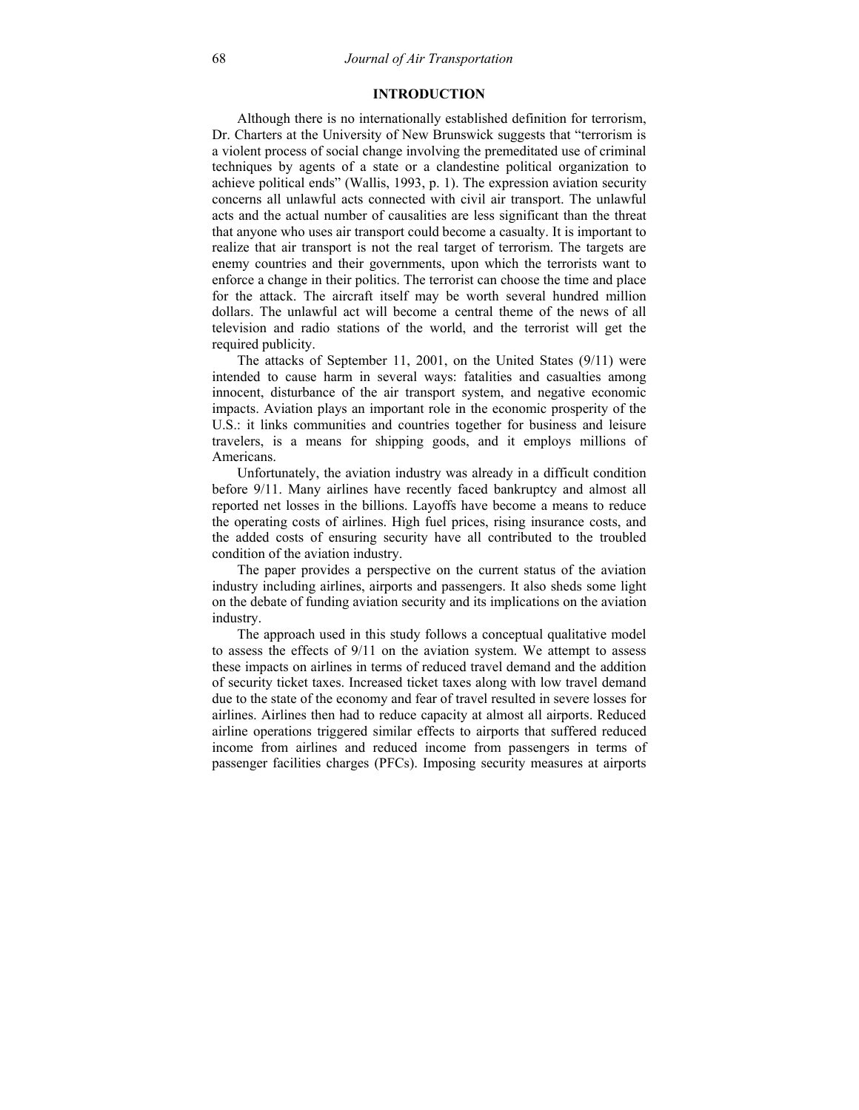# **INTRODUCTION**

Although there is no internationally established definition for terrorism, Dr. Charters at the University of New Brunswick suggests that "terrorism is a violent process of social change involving the premeditated use of criminal techniques by agents of a state or a clandestine political organization to achieve political ends" (Wallis, 1993, p. 1). The expression aviation security concerns all unlawful acts connected with civil air transport. The unlawful acts and the actual number of causalities are less significant than the threat that anyone who uses air transport could become a casualty. It is important to realize that air transport is not the real target of terrorism. The targets are enemy countries and their governments, upon which the terrorists want to enforce a change in their politics. The terrorist can choose the time and place for the attack. The aircraft itself may be worth several hundred million dollars. The unlawful act will become a central theme of the news of all television and radio stations of the world, and the terrorist will get the required publicity.

The attacks of September 11, 2001, on the United States (9/11) were intended to cause harm in several ways: fatalities and casualties among innocent, disturbance of the air transport system, and negative economic impacts. Aviation plays an important role in the economic prosperity of the U.S.: it links communities and countries together for business and leisure travelers, is a means for shipping goods, and it employs millions of Americans.

Unfortunately, the aviation industry was already in a difficult condition before 9/11. Many airlines have recently faced bankruptcy and almost all reported net losses in the billions. Layoffs have become a means to reduce the operating costs of airlines. High fuel prices, rising insurance costs, and the added costs of ensuring security have all contributed to the troubled condition of the aviation industry.

The paper provides a perspective on the current status of the aviation industry including airlines, airports and passengers. It also sheds some light on the debate of funding aviation security and its implications on the aviation industry.

The approach used in this study follows a conceptual qualitative model to assess the effects of 9/11 on the aviation system. We attempt to assess these impacts on airlines in terms of reduced travel demand and the addition of security ticket taxes. Increased ticket taxes along with low travel demand due to the state of the economy and fear of travel resulted in severe losses for airlines. Airlines then had to reduce capacity at almost all airports. Reduced airline operations triggered similar effects to airports that suffered reduced income from airlines and reduced income from passengers in terms of passenger facilities charges (PFCs). Imposing security measures at airports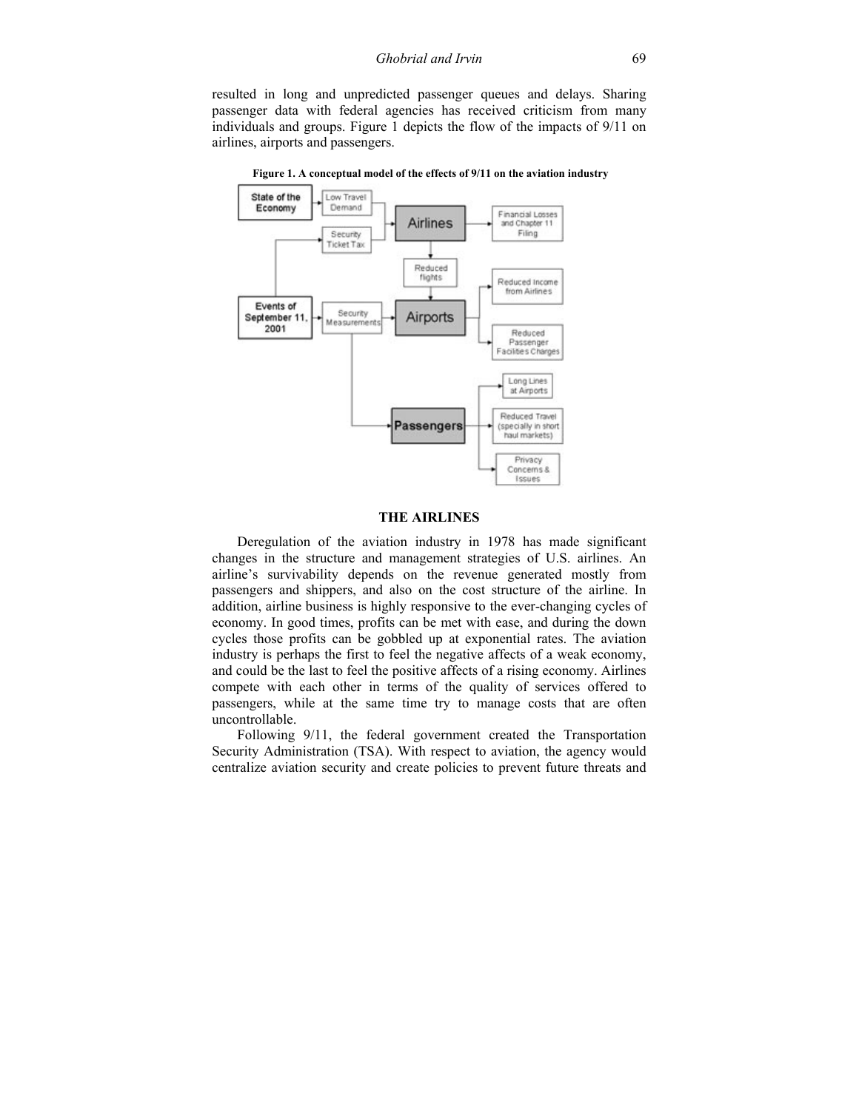resulted in long and unpredicted passenger queues and delays. Sharing passenger data with federal agencies has received criticism from many individuals and groups. Figure 1 depicts the flow of the impacts of 9/11 on airlines, airports and passengers.

State of the Low Travel Economy Demand Financial Losses **Airlines** and Chapter 11 Filing Security Ticket Tax Reduced flights Reduced Income from Airlines Events of Security September 1 Airports Measurement 2001 Reduced Passenger<br>Facilities Charges Long Lines at Airports Reduced Travel **Passengers** (specially in short haul markets) Privacy Concerns & Issues

 **Figure 1. A conceptual model of the effects of 9/11 on the aviation industry** 

## **THE AIRLINES**

Deregulation of the aviation industry in 1978 has made significant changes in the structure and management strategies of U.S. airlines. An airline's survivability depends on the revenue generated mostly from passengers and shippers, and also on the cost structure of the airline. In addition, airline business is highly responsive to the ever-changing cycles of economy. In good times, profits can be met with ease, and during the down cycles those profits can be gobbled up at exponential rates. The aviation industry is perhaps the first to feel the negative affects of a weak economy, and could be the last to feel the positive affects of a rising economy. Airlines compete with each other in terms of the quality of services offered to passengers, while at the same time try to manage costs that are often uncontrollable.

Following 9/11, the federal government created the Transportation Security Administration (TSA). With respect to aviation, the agency would centralize aviation security and create policies to prevent future threats and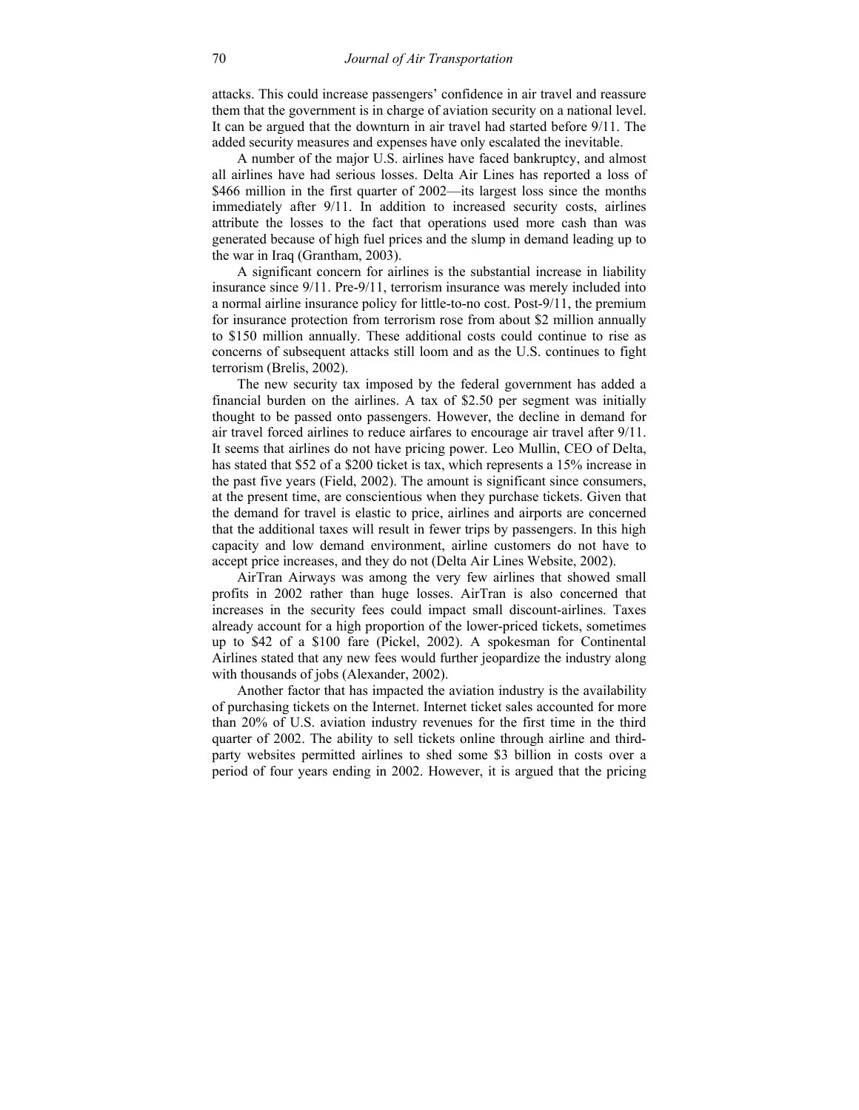attacks. This could increase passengers' confidence in air travel and reassure them that the government is in charge of aviation security on a national level. It can be argued that the downturn in air travel had started before 9/11. The added security measures and expenses have only escalated the inevitable.

A number of the major U.S. airlines have faced bankruptcy, and almost all airlines have had serious losses. Delta Air Lines has reported a loss of \$466 million in the first quarter of 2002—its largest loss since the months immediately after 9/11. In addition to increased security costs, airlines attribute the losses to the fact that operations used more cash than was generated because of high fuel prices and the slump in demand leading up to the war in Iraq (Grantham, 2003).

A significant concern for airlines is the substantial increase in liability insurance since 9/11. Pre-9/11, terrorism insurance was merely included into a normal airline insurance policy for little-to-no cost. Post-9/11, the premium for insurance protection from terrorism rose from about \$2 million annually to \$150 million annually. These additional costs could continue to rise as concerns of subsequent attacks still loom and as the U.S. continues to fight terrorism (Brelis, 2002).

The new security tax imposed by the federal government has added a financial burden on the airlines. A tax of \$2.50 per segment was initially thought to be passed onto passengers. However, the decline in demand for air travel forced airlines to reduce airfares to encourage air travel after 9/11. It seems that airlines do not have pricing power. Leo Mullin, CEO of Delta, has stated that \$52 of a \$200 ticket is tax, which represents a 15% increase in the past five years (Field, 2002). The amount is significant since consumers, at the present time, are conscientious when they purchase tickets. Given that the demand for travel is elastic to price, airlines and airports are concerned that the additional taxes will result in fewer trips by passengers. In this high capacity and low demand environment, airline customers do not have to accept price increases, and they do not (Delta Air Lines Website, 2002).

AirTran Airways was among the very few airlines that showed small profits in 2002 rather than huge losses. AirTran is also concerned that increases in the security fees could impact small discount-airlines. Taxes already account for a high proportion of the lower-priced tickets, sometimes up to \$42 of a \$100 fare (Pickel, 2002). A spokesman for Continental Airlines stated that any new fees would further jeopardize the industry along with thousands of jobs (Alexander, 2002).

Another factor that has impacted the aviation industry is the availability of purchasing tickets on the Internet. Internet ticket sales accounted for more than 20% of U.S. aviation industry revenues for the first time in the third quarter of 2002. The ability to sell tickets online through airline and thirdparty websites permitted airlines to shed some \$3 billion in costs over a period of four years ending in 2002. However, it is argued that the pricing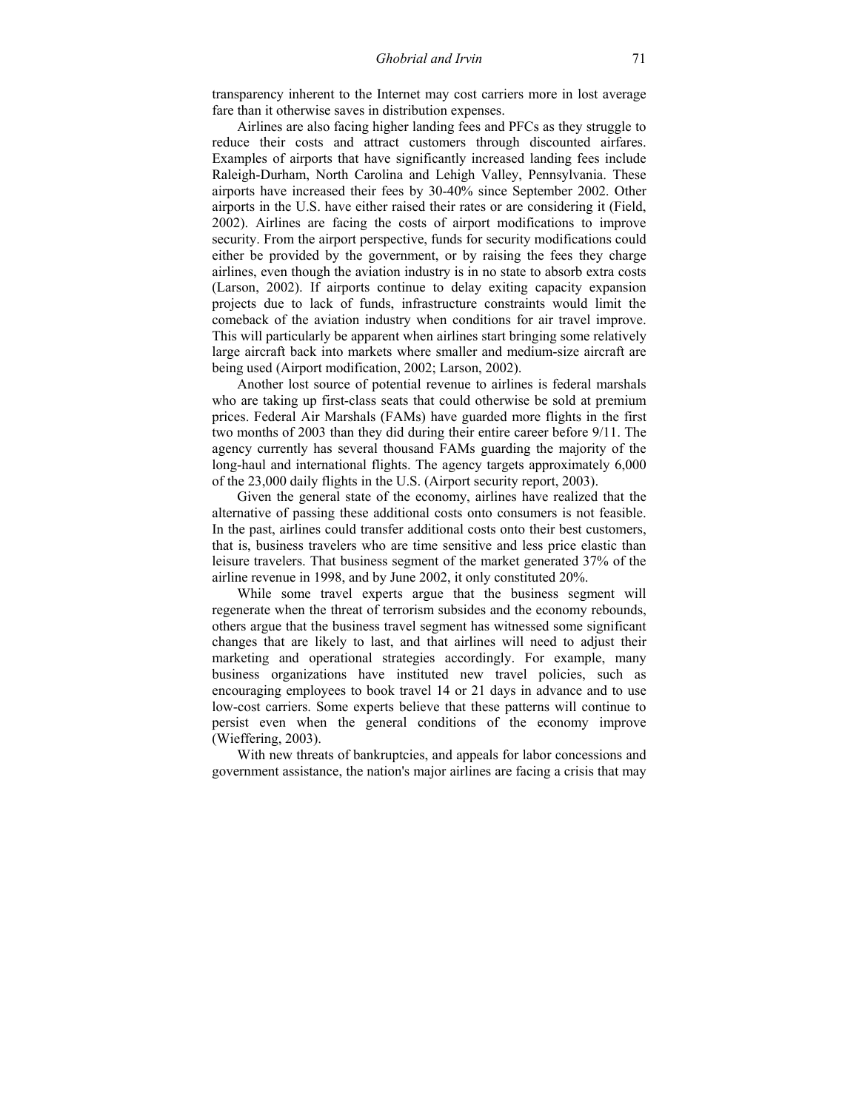transparency inherent to the Internet may cost carriers more in lost average fare than it otherwise saves in distribution expenses.

Airlines are also facing higher landing fees and PFCs as they struggle to reduce their costs and attract customers through discounted airfares. Examples of airports that have significantly increased landing fees include Raleigh-Durham, North Carolina and Lehigh Valley, Pennsylvania. These airports have increased their fees by 30-40% since September 2002. Other airports in the U.S. have either raised their rates or are considering it (Field, 2002). Airlines are facing the costs of airport modifications to improve security. From the airport perspective, funds for security modifications could either be provided by the government, or by raising the fees they charge airlines, even though the aviation industry is in no state to absorb extra costs (Larson, 2002). If airports continue to delay exiting capacity expansion projects due to lack of funds, infrastructure constraints would limit the comeback of the aviation industry when conditions for air travel improve. This will particularly be apparent when airlines start bringing some relatively large aircraft back into markets where smaller and medium-size aircraft are being used (Airport modification, 2002; Larson, 2002).

Another lost source of potential revenue to airlines is federal marshals who are taking up first-class seats that could otherwise be sold at premium prices. Federal Air Marshals (FAMs) have guarded more flights in the first two months of 2003 than they did during their entire career before 9/11. The agency currently has several thousand FAMs guarding the majority of the long-haul and international flights. The agency targets approximately 6,000 of the 23,000 daily flights in the U.S. (Airport security report, 2003).

Given the general state of the economy, airlines have realized that the alternative of passing these additional costs onto consumers is not feasible. In the past, airlines could transfer additional costs onto their best customers, that is, business travelers who are time sensitive and less price elastic than leisure travelers. That business segment of the market generated 37% of the airline revenue in 1998, and by June 2002, it only constituted 20%.

While some travel experts argue that the business segment will regenerate when the threat of terrorism subsides and the economy rebounds, others argue that the business travel segment has witnessed some significant changes that are likely to last, and that airlines will need to adjust their marketing and operational strategies accordingly. For example, many business organizations have instituted new travel policies, such as encouraging employees to book travel 14 or 21 days in advance and to use low-cost carriers. Some experts believe that these patterns will continue to persist even when the general conditions of the economy improve (Wieffering, 2003).

With new threats of bankruptcies, and appeals for labor concessions and government assistance, the nation's major airlines are facing a crisis that may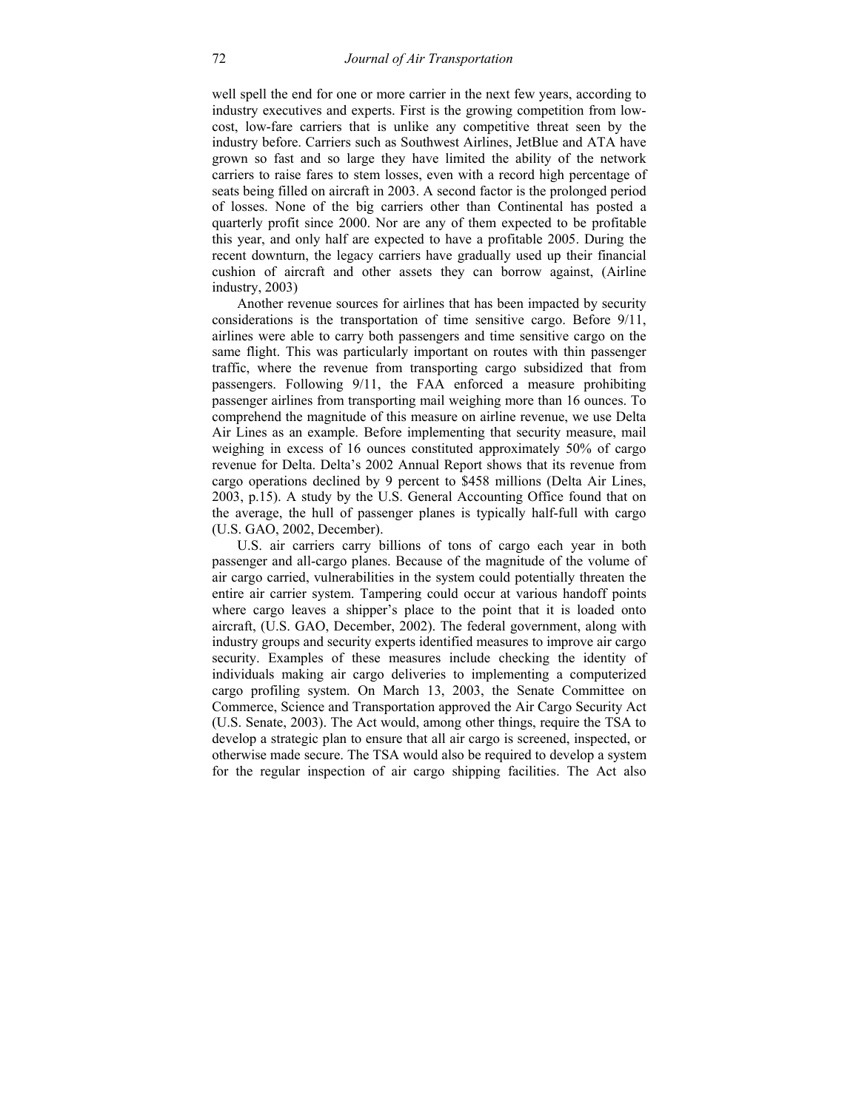well spell the end for one or more carrier in the next few years, according to industry executives and experts. First is the growing competition from lowcost, low-fare carriers that is unlike any competitive threat seen by the industry before. Carriers such as Southwest Airlines, JetBlue and ATA have grown so fast and so large they have limited the ability of the network carriers to raise fares to stem losses, even with a record high percentage of seats being filled on aircraft in 2003. A second factor is the prolonged period of losses. None of the big carriers other than Continental has posted a quarterly profit since 2000. Nor are any of them expected to be profitable this year, and only half are expected to have a profitable 2005. During the recent downturn, the legacy carriers have gradually used up their financial cushion of aircraft and other assets they can borrow against, (Airline industry, 2003)

Another revenue sources for airlines that has been impacted by security considerations is the transportation of time sensitive cargo. Before 9/11, airlines were able to carry both passengers and time sensitive cargo on the same flight. This was particularly important on routes with thin passenger traffic, where the revenue from transporting cargo subsidized that from passengers. Following 9/11, the FAA enforced a measure prohibiting passenger airlines from transporting mail weighing more than 16 ounces. To comprehend the magnitude of this measure on airline revenue, we use Delta Air Lines as an example. Before implementing that security measure, mail weighing in excess of 16 ounces constituted approximately 50% of cargo revenue for Delta. Delta's 2002 Annual Report shows that its revenue from cargo operations declined by 9 percent to \$458 millions (Delta Air Lines, 2003, p.15). A study by the U.S. General Accounting Office found that on the average, the hull of passenger planes is typically half-full with cargo (U.S. GAO, 2002, December).

U.S. air carriers carry billions of tons of cargo each year in both passenger and all-cargo planes. Because of the magnitude of the volume of air cargo carried, vulnerabilities in the system could potentially threaten the entire air carrier system. Tampering could occur at various handoff points where cargo leaves a shipper's place to the point that it is loaded onto aircraft, (U.S. GAO, December, 2002). The federal government, along with industry groups and security experts identified measures to improve air cargo security. Examples of these measures include checking the identity of individuals making air cargo deliveries to implementing a computerized cargo profiling system. On March 13, 2003, the Senate Committee on Commerce, Science and Transportation approved the Air Cargo Security Act (U.S. Senate, 2003). The Act would, among other things, require the TSA to develop a strategic plan to ensure that all air cargo is screened, inspected, or otherwise made secure. The TSA would also be required to develop a system for the regular inspection of air cargo shipping facilities. The Act also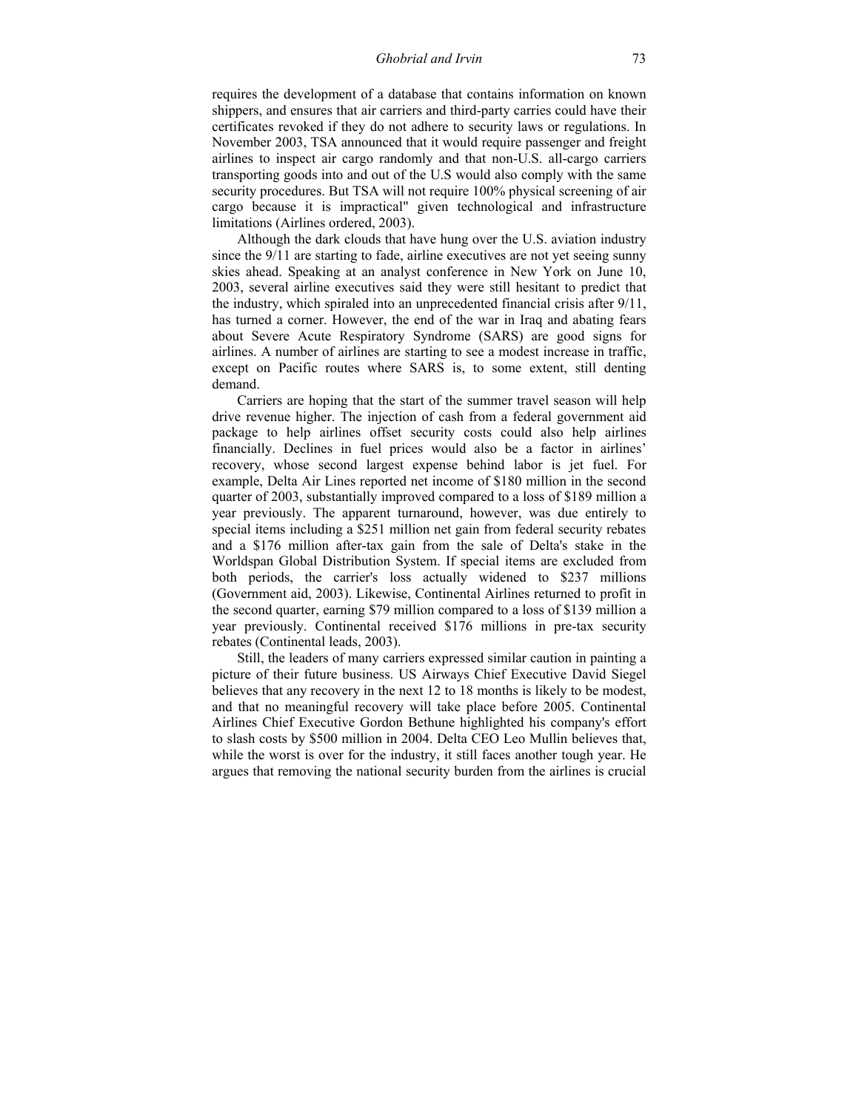requires the development of a database that contains information on known shippers, and ensures that air carriers and third-party carries could have their certificates revoked if they do not adhere to security laws or regulations. In November 2003, TSA announced that it would require passenger and freight airlines to inspect air cargo randomly and that non-U.S. all-cargo carriers transporting goods into and out of the U.S would also comply with the same security procedures. But TSA will not require 100% physical screening of air cargo because it is impractical" given technological and infrastructure limitations (Airlines ordered, 2003).

Although the dark clouds that have hung over the U.S. aviation industry since the 9/11 are starting to fade, airline executives are not yet seeing sunny skies ahead. Speaking at an analyst conference in New York on June 10, 2003, several airline executives said they were still hesitant to predict that the industry, which spiraled into an unprecedented financial crisis after 9/11, has turned a corner. However, the end of the war in Iraq and abating fears about Severe Acute Respiratory Syndrome (SARS) are good signs for airlines. A number of airlines are starting to see a modest increase in traffic, except on Pacific routes where SARS is, to some extent, still denting demand.

Carriers are hoping that the start of the summer travel season will help drive revenue higher. The injection of cash from a federal government aid package to help airlines offset security costs could also help airlines financially. Declines in fuel prices would also be a factor in airlines' recovery, whose second largest expense behind labor is jet fuel. For example, Delta Air Lines reported net income of \$180 million in the second quarter of 2003, substantially improved compared to a loss of \$189 million a year previously. The apparent turnaround, however, was due entirely to special items including a \$251 million net gain from federal security rebates and a \$176 million after-tax gain from the sale of Delta's stake in the Worldspan Global Distribution System. If special items are excluded from both periods, the carrier's loss actually widened to \$237 millions (Government aid, 2003). Likewise, Continental Airlines returned to profit in the second quarter, earning \$79 million compared to a loss of \$139 million a year previously. Continental received \$176 millions in pre-tax security rebates (Continental leads, 2003).

Still, the leaders of many carriers expressed similar caution in painting a picture of their future business. US Airways Chief Executive David Siegel believes that any recovery in the next 12 to 18 months is likely to be modest, and that no meaningful recovery will take place before 2005. Continental Airlines Chief Executive Gordon Bethune highlighted his company's effort to slash costs by \$500 million in 2004. Delta CEO Leo Mullin believes that, while the worst is over for the industry, it still faces another tough year. He argues that removing the national security burden from the airlines is crucial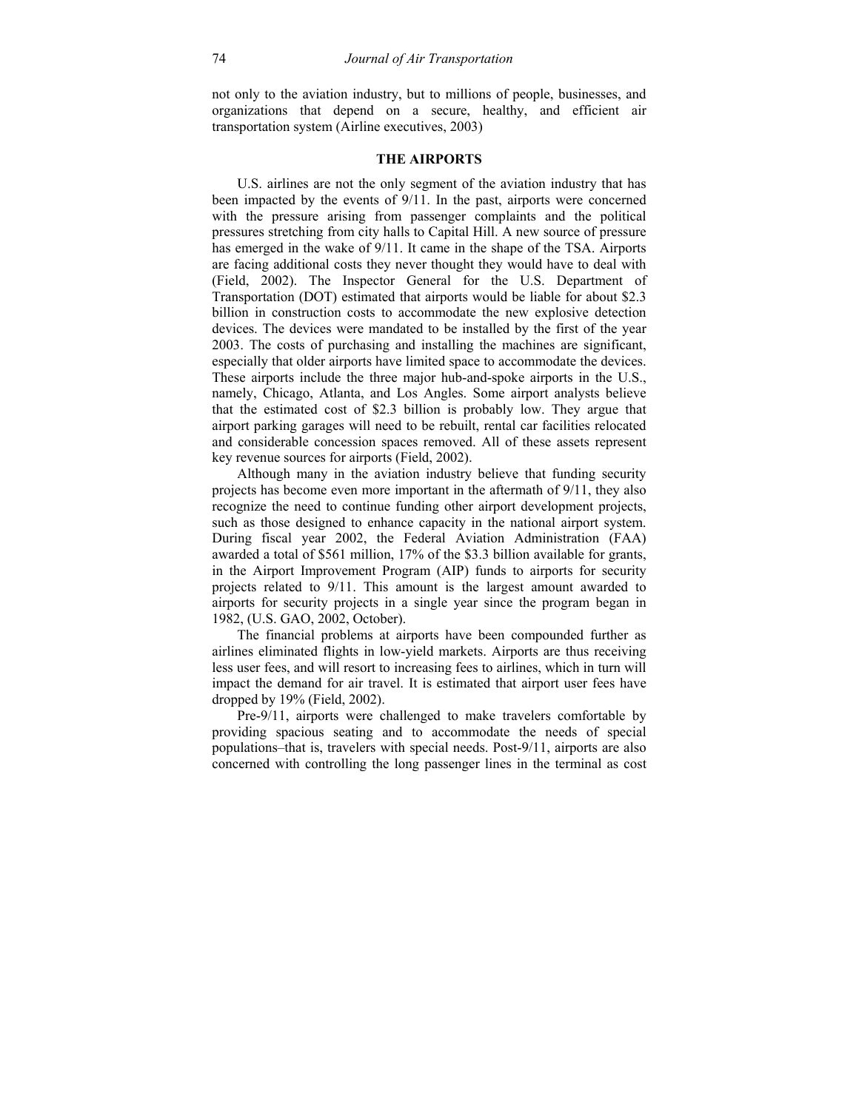not only to the aviation industry, but to millions of people, businesses, and organizations that depend on a secure, healthy, and efficient air transportation system (Airline executives, 2003)

#### **THE AIRPORTS**

U.S. airlines are not the only segment of the aviation industry that has been impacted by the events of 9/11. In the past, airports were concerned with the pressure arising from passenger complaints and the political pressures stretching from city halls to Capital Hill. A new source of pressure has emerged in the wake of 9/11. It came in the shape of the TSA. Airports are facing additional costs they never thought they would have to deal with (Field, 2002). The Inspector General for the U.S. Department of Transportation (DOT) estimated that airports would be liable for about \$2.3 billion in construction costs to accommodate the new explosive detection devices. The devices were mandated to be installed by the first of the year 2003. The costs of purchasing and installing the machines are significant, especially that older airports have limited space to accommodate the devices. These airports include the three major hub-and-spoke airports in the U.S., namely, Chicago, Atlanta, and Los Angles. Some airport analysts believe that the estimated cost of \$2.3 billion is probably low. They argue that airport parking garages will need to be rebuilt, rental car facilities relocated and considerable concession spaces removed. All of these assets represent key revenue sources for airports (Field, 2002).

Although many in the aviation industry believe that funding security projects has become even more important in the aftermath of 9/11, they also recognize the need to continue funding other airport development projects, such as those designed to enhance capacity in the national airport system. During fiscal year 2002, the Federal Aviation Administration (FAA) awarded a total of \$561 million, 17% of the \$3.3 billion available for grants, in the Airport Improvement Program (AIP) funds to airports for security projects related to 9/11. This amount is the largest amount awarded to airports for security projects in a single year since the program began in 1982, (U.S. GAO, 2002, October).

The financial problems at airports have been compounded further as airlines eliminated flights in low-yield markets. Airports are thus receiving less user fees, and will resort to increasing fees to airlines, which in turn will impact the demand for air travel. It is estimated that airport user fees have dropped by 19% (Field, 2002).

Pre-9/11, airports were challenged to make travelers comfortable by providing spacious seating and to accommodate the needs of special populations–that is, travelers with special needs. Post-9/11, airports are also concerned with controlling the long passenger lines in the terminal as cost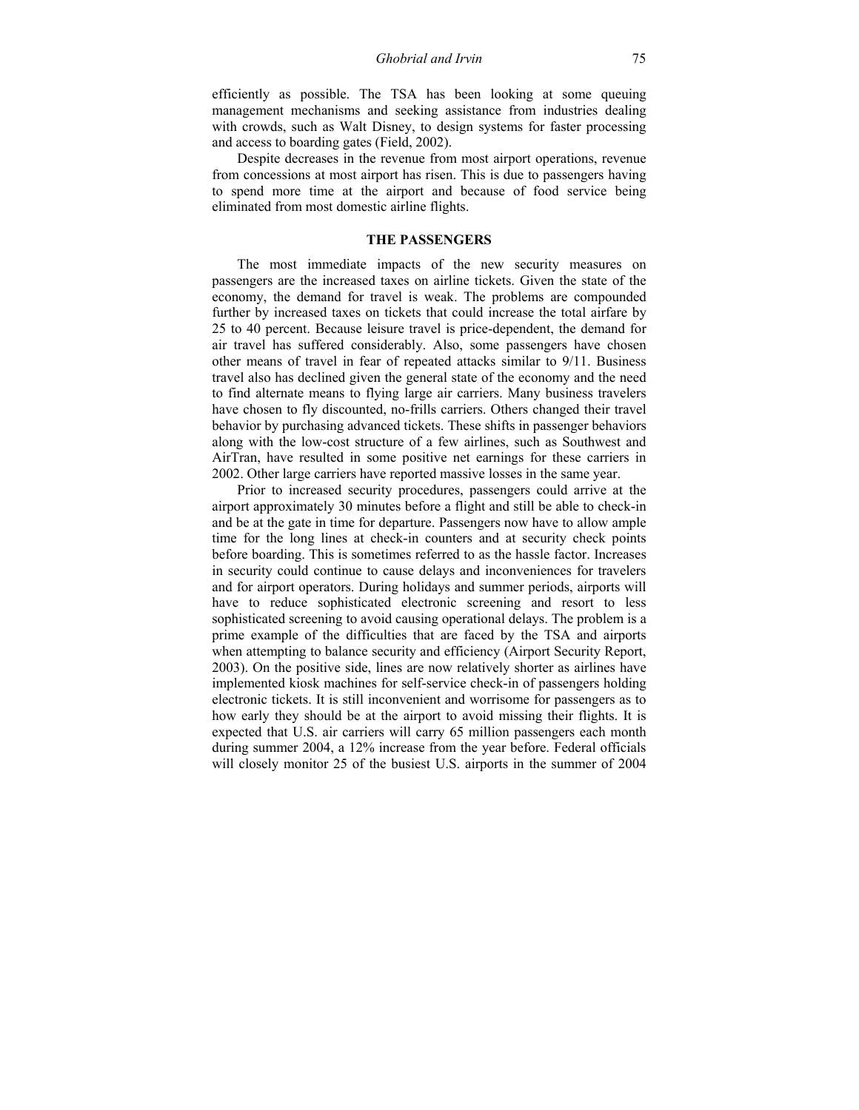efficiently as possible. The TSA has been looking at some queuing management mechanisms and seeking assistance from industries dealing with crowds, such as Walt Disney, to design systems for faster processing and access to boarding gates (Field, 2002).

Despite decreases in the revenue from most airport operations, revenue from concessions at most airport has risen. This is due to passengers having to spend more time at the airport and because of food service being eliminated from most domestic airline flights.

#### **THE PASSENGERS**

The most immediate impacts of the new security measures on passengers are the increased taxes on airline tickets. Given the state of the economy, the demand for travel is weak. The problems are compounded further by increased taxes on tickets that could increase the total airfare by 25 to 40 percent. Because leisure travel is price-dependent, the demand for air travel has suffered considerably. Also, some passengers have chosen other means of travel in fear of repeated attacks similar to 9/11. Business travel also has declined given the general state of the economy and the need to find alternate means to flying large air carriers. Many business travelers have chosen to fly discounted, no-frills carriers. Others changed their travel behavior by purchasing advanced tickets. These shifts in passenger behaviors along with the low-cost structure of a few airlines, such as Southwest and AirTran, have resulted in some positive net earnings for these carriers in 2002. Other large carriers have reported massive losses in the same year.

Prior to increased security procedures, passengers could arrive at the airport approximately 30 minutes before a flight and still be able to check-in and be at the gate in time for departure. Passengers now have to allow ample time for the long lines at check-in counters and at security check points before boarding. This is sometimes referred to as the hassle factor. Increases in security could continue to cause delays and inconveniences for travelers and for airport operators. During holidays and summer periods, airports will have to reduce sophisticated electronic screening and resort to less sophisticated screening to avoid causing operational delays. The problem is a prime example of the difficulties that are faced by the TSA and airports when attempting to balance security and efficiency (Airport Security Report, 2003). On the positive side, lines are now relatively shorter as airlines have implemented kiosk machines for self-service check-in of passengers holding electronic tickets. It is still inconvenient and worrisome for passengers as to how early they should be at the airport to avoid missing their flights. It is expected that U.S. air carriers will carry 65 million passengers each month during summer 2004, a 12% increase from the year before. Federal officials will closely monitor 25 of the busiest U.S. airports in the summer of 2004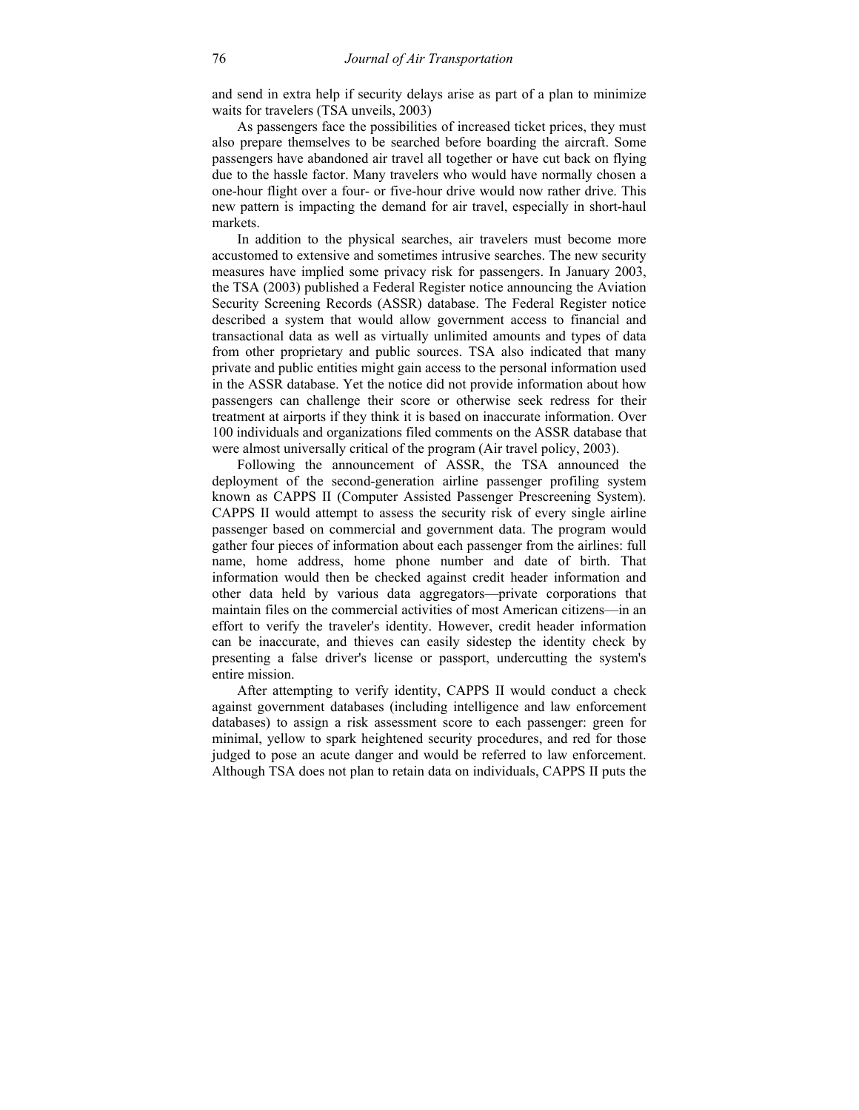and send in extra help if security delays arise as part of a plan to minimize waits for travelers (TSA unveils, 2003)

As passengers face the possibilities of increased ticket prices, they must also prepare themselves to be searched before boarding the aircraft. Some passengers have abandoned air travel all together or have cut back on flying due to the hassle factor. Many travelers who would have normally chosen a one-hour flight over a four- or five-hour drive would now rather drive. This new pattern is impacting the demand for air travel, especially in short-haul markets.

In addition to the physical searches, air travelers must become more accustomed to extensive and sometimes intrusive searches. The new security measures have implied some privacy risk for passengers. In January 2003, the TSA (2003) published a Federal Register notice announcing the Aviation Security Screening Records (ASSR) database. The Federal Register notice described a system that would allow government access to financial and transactional data as well as virtually unlimited amounts and types of data from other proprietary and public sources. TSA also indicated that many private and public entities might gain access to the personal information used in the ASSR database. Yet the notice did not provide information about how passengers can challenge their score or otherwise seek redress for their treatment at airports if they think it is based on inaccurate information. Over 100 individuals and organizations filed comments on the ASSR database that were almost universally critical of the program (Air travel policy, 2003).

Following the announcement of ASSR, the TSA announced the deployment of the second-generation airline passenger profiling system known as CAPPS II (Computer Assisted Passenger Prescreening System). CAPPS II would attempt to assess the security risk of every single airline passenger based on commercial and government data. The program would gather four pieces of information about each passenger from the airlines: full name, home address, home phone number and date of birth. That information would then be checked against credit header information and other data held by various data aggregators—private corporations that maintain files on the commercial activities of most American citizens—in an effort to verify the traveler's identity. However, credit header information can be inaccurate, and thieves can easily sidestep the identity check by presenting a false driver's license or passport, undercutting the system's entire mission.

After attempting to verify identity, CAPPS II would conduct a check against government databases (including intelligence and law enforcement databases) to assign a risk assessment score to each passenger: green for minimal, yellow to spark heightened security procedures, and red for those judged to pose an acute danger and would be referred to law enforcement. Although TSA does not plan to retain data on individuals, CAPPS II puts the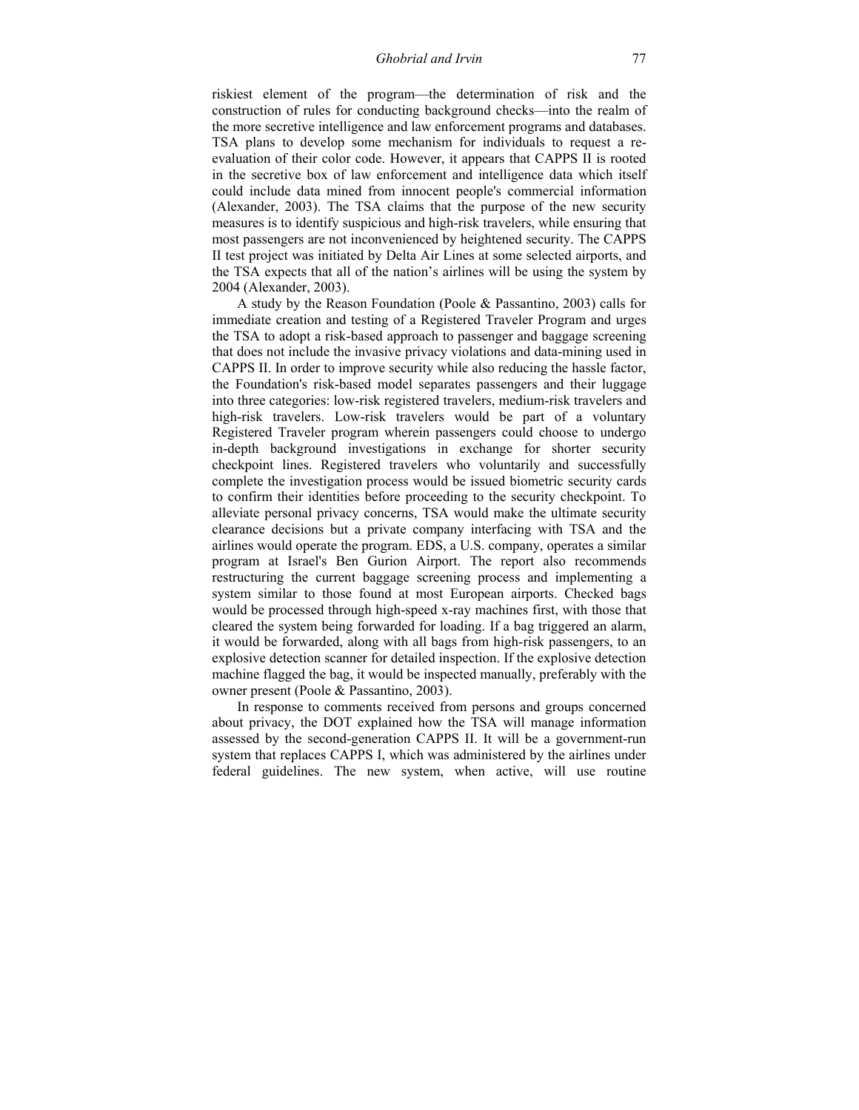riskiest element of the program—the determination of risk and the construction of rules for conducting background checks—into the realm of the more secretive intelligence and law enforcement programs and databases. TSA plans to develop some mechanism for individuals to request a reevaluation of their color code. However, it appears that CAPPS II is rooted in the secretive box of law enforcement and intelligence data which itself could include data mined from innocent people's commercial information (Alexander, 2003). The TSA claims that the purpose of the new security measures is to identify suspicious and high-risk travelers, while ensuring that most passengers are not inconvenienced by heightened security. The CAPPS II test project was initiated by Delta Air Lines at some selected airports, and the TSA expects that all of the nation's airlines will be using the system by 2004 (Alexander, 2003).

A study by the Reason Foundation (Poole & Passantino, 2003) calls for immediate creation and testing of a Registered Traveler Program and urges the TSA to adopt a risk-based approach to passenger and baggage screening that does not include the invasive privacy violations and data-mining used in CAPPS II. In order to improve security while also reducing the hassle factor, the Foundation's risk-based model separates passengers and their luggage into three categories: low-risk registered travelers, medium-risk travelers and high-risk travelers. Low-risk travelers would be part of a voluntary Registered Traveler program wherein passengers could choose to undergo in-depth background investigations in exchange for shorter security checkpoint lines. Registered travelers who voluntarily and successfully complete the investigation process would be issued biometric security cards to confirm their identities before proceeding to the security checkpoint. To alleviate personal privacy concerns, TSA would make the ultimate security clearance decisions but a private company interfacing with TSA and the airlines would operate the program. EDS, a U.S. company, operates a similar program at Israel's Ben Gurion Airport. The report also recommends restructuring the current baggage screening process and implementing a system similar to those found at most European airports. Checked bags would be processed through high-speed x-ray machines first, with those that cleared the system being forwarded for loading. If a bag triggered an alarm, it would be forwarded, along with all bags from high-risk passengers, to an explosive detection scanner for detailed inspection. If the explosive detection machine flagged the bag, it would be inspected manually, preferably with the owner present (Poole & Passantino, 2003).

In response to comments received from persons and groups concerned about privacy, the DOT explained how the TSA will manage information assessed by the second-generation CAPPS II. It will be a government-run system that replaces CAPPS I, which was administered by the airlines under federal guidelines. The new system, when active, will use routine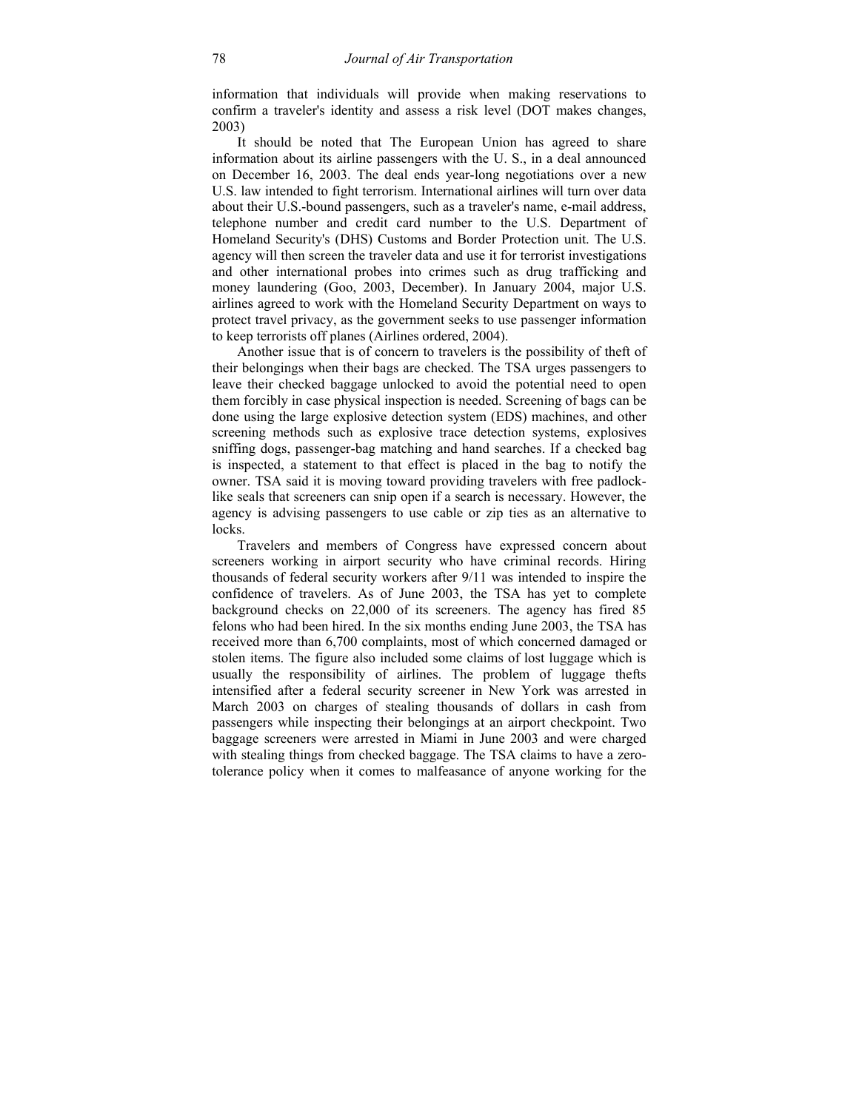information that individuals will provide when making reservations to confirm a traveler's identity and assess a risk level (DOT makes changes, 2003)

It should be noted that The European Union has agreed to share information about its airline passengers with the U. S., in a deal announced on December 16, 2003. The deal ends year-long negotiations over a new U.S. law intended to fight terrorism. International airlines will turn over data about their U.S.-bound passengers, such as a traveler's name, e-mail address, telephone number and credit card number to the U.S. Department of Homeland Security's (DHS) Customs and Border Protection unit. The U.S. agency will then screen the traveler data and use it for terrorist investigations and other international probes into crimes such as drug trafficking and money laundering (Goo, 2003, December). In January 2004, major U.S. airlines agreed to work with the Homeland Security Department on ways to protect travel privacy, as the government seeks to use passenger information to keep terrorists off planes (Airlines ordered, 2004).

Another issue that is of concern to travelers is the possibility of theft of their belongings when their bags are checked. The TSA urges passengers to leave their checked baggage unlocked to avoid the potential need to open them forcibly in case physical inspection is needed. Screening of bags can be done using the large explosive detection system (EDS) machines, and other screening methods such as explosive trace detection systems, explosives sniffing dogs, passenger-bag matching and hand searches. If a checked bag is inspected, a statement to that effect is placed in the bag to notify the owner. TSA said it is moving toward providing travelers with free padlocklike seals that screeners can snip open if a search is necessary. However, the agency is advising passengers to use cable or zip ties as an alternative to locks.

Travelers and members of Congress have expressed concern about screeners working in airport security who have criminal records. Hiring thousands of federal security workers after 9/11 was intended to inspire the confidence of travelers. As of June 2003, the TSA has yet to complete background checks on 22,000 of its screeners. The agency has fired 85 felons who had been hired. In the six months ending June 2003, the TSA has received more than 6,700 complaints, most of which concerned damaged or stolen items. The figure also included some claims of lost luggage which is usually the responsibility of airlines. The problem of luggage thefts intensified after a federal security screener in New York was arrested in March 2003 on charges of stealing thousands of dollars in cash from passengers while inspecting their belongings at an airport checkpoint. Two baggage screeners were arrested in Miami in June 2003 and were charged with stealing things from checked baggage. The TSA claims to have a zerotolerance policy when it comes to malfeasance of anyone working for the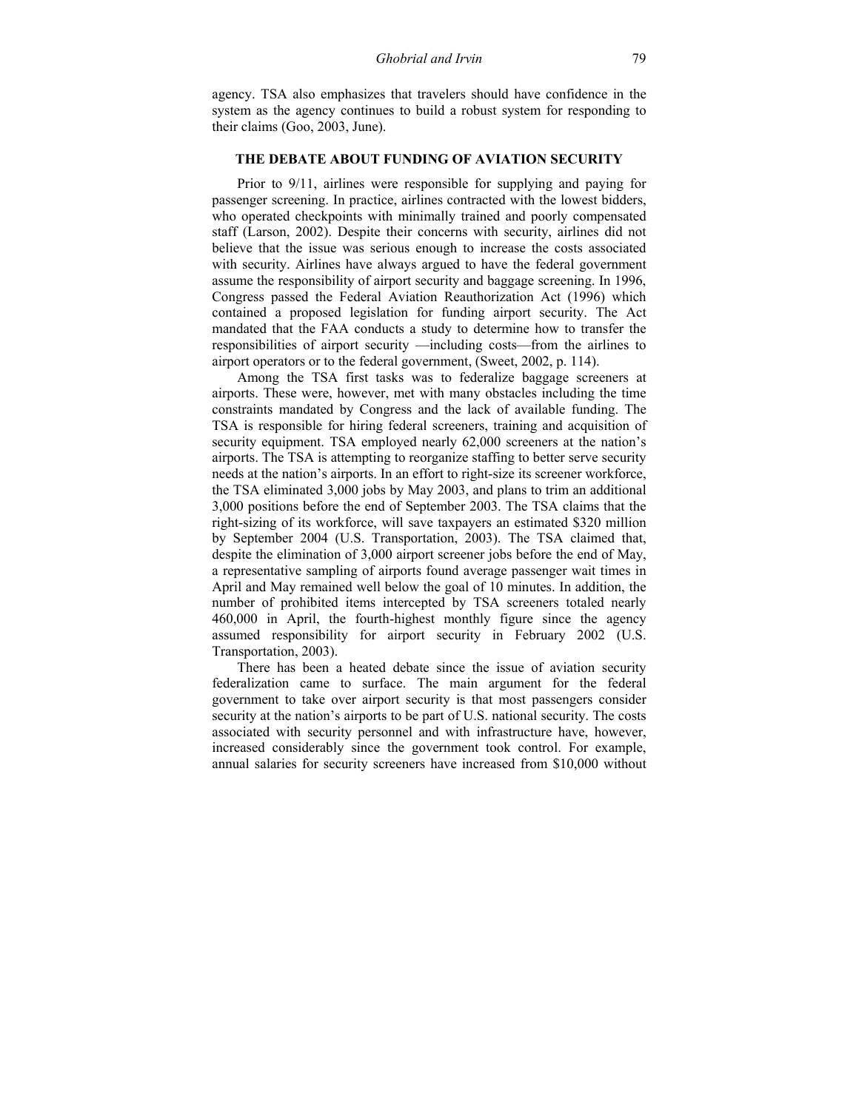agency. TSA also emphasizes that travelers should have confidence in the system as the agency continues to build a robust system for responding to their claims (Goo, 2003, June).

#### **THE DEBATE ABOUT FUNDING OF AVIATION SECURITY**

Prior to 9/11, airlines were responsible for supplying and paying for passenger screening. In practice, airlines contracted with the lowest bidders, who operated checkpoints with minimally trained and poorly compensated staff (Larson, 2002). Despite their concerns with security, airlines did not believe that the issue was serious enough to increase the costs associated with security. Airlines have always argued to have the federal government assume the responsibility of airport security and baggage screening. In 1996, Congress passed the Federal Aviation Reauthorization Act (1996) which contained a proposed legislation for funding airport security. The Act mandated that the FAA conducts a study to determine how to transfer the responsibilities of airport security —including costs—from the airlines to airport operators or to the federal government, (Sweet, 2002, p. 114).

Among the TSA first tasks was to federalize baggage screeners at airports. These were, however, met with many obstacles including the time constraints mandated by Congress and the lack of available funding. The TSA is responsible for hiring federal screeners, training and acquisition of security equipment. TSA employed nearly 62,000 screeners at the nation's airports. The TSA is attempting to reorganize staffing to better serve security needs at the nation's airports. In an effort to right-size its screener workforce, the TSA eliminated 3,000 jobs by May 2003, and plans to trim an additional 3,000 positions before the end of September 2003. The TSA claims that the right-sizing of its workforce, will save taxpayers an estimated \$320 million by September 2004 (U.S. Transportation, 2003). The TSA claimed that, despite the elimination of 3,000 airport screener jobs before the end of May, a representative sampling of airports found average passenger wait times in April and May remained well below the goal of 10 minutes. In addition, the number of prohibited items intercepted by TSA screeners totaled nearly 460,000 in April, the fourth-highest monthly figure since the agency assumed responsibility for airport security in February 2002 (U.S. Transportation, 2003).

There has been a heated debate since the issue of aviation security federalization came to surface. The main argument for the federal government to take over airport security is that most passengers consider security at the nation's airports to be part of U.S. national security. The costs associated with security personnel and with infrastructure have, however, increased considerably since the government took control. For example, annual salaries for security screeners have increased from \$10,000 without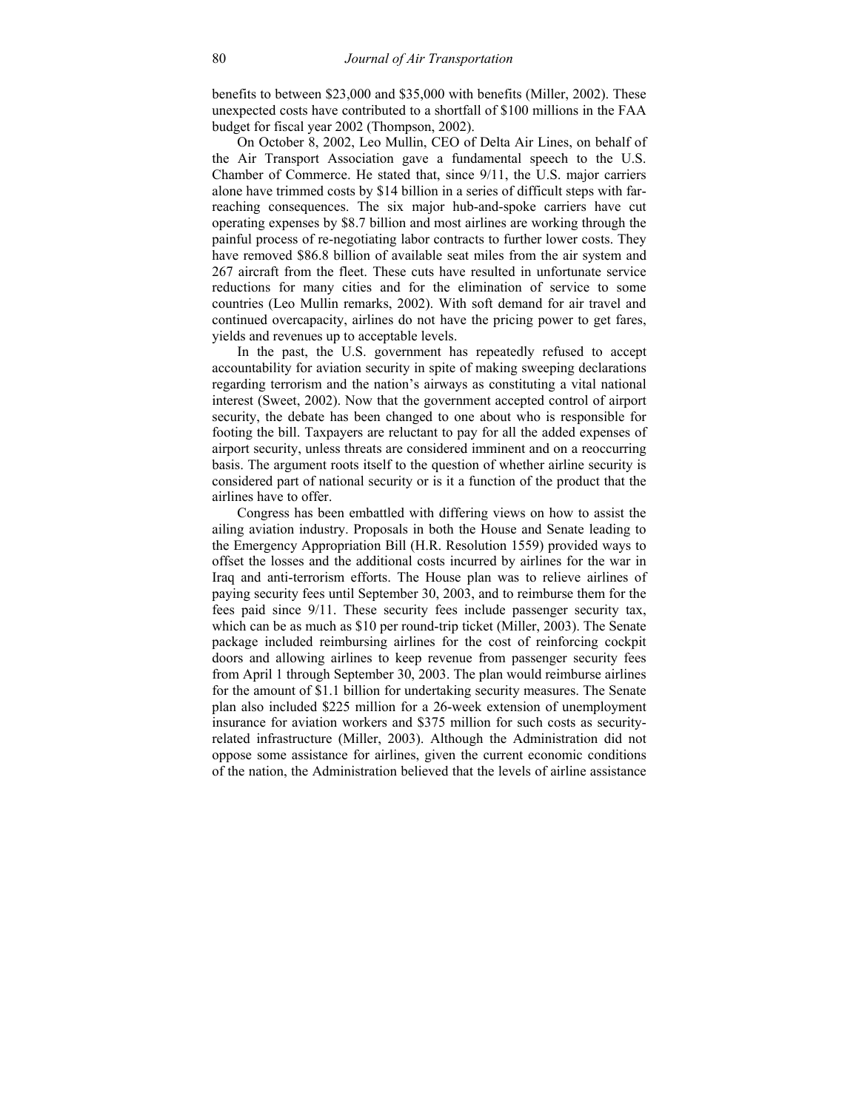benefits to between \$23,000 and \$35,000 with benefits (Miller, 2002). These unexpected costs have contributed to a shortfall of \$100 millions in the FAA budget for fiscal year 2002 (Thompson, 2002).

On October 8, 2002, Leo Mullin, CEO of Delta Air Lines, on behalf of the Air Transport Association gave a fundamental speech to the U.S. Chamber of Commerce. He stated that, since 9/11, the U.S. major carriers alone have trimmed costs by \$14 billion in a series of difficult steps with farreaching consequences. The six major hub-and-spoke carriers have cut operating expenses by \$8.7 billion and most airlines are working through the painful process of re-negotiating labor contracts to further lower costs. They have removed \$86.8 billion of available seat miles from the air system and 267 aircraft from the fleet. These cuts have resulted in unfortunate service reductions for many cities and for the elimination of service to some countries (Leo Mullin remarks, 2002). With soft demand for air travel and continued overcapacity, airlines do not have the pricing power to get fares, yields and revenues up to acceptable levels.

In the past, the U.S. government has repeatedly refused to accept accountability for aviation security in spite of making sweeping declarations regarding terrorism and the nation's airways as constituting a vital national interest (Sweet, 2002). Now that the government accepted control of airport security, the debate has been changed to one about who is responsible for footing the bill. Taxpayers are reluctant to pay for all the added expenses of airport security, unless threats are considered imminent and on a reoccurring basis. The argument roots itself to the question of whether airline security is considered part of national security or is it a function of the product that the airlines have to offer.

Congress has been embattled with differing views on how to assist the ailing aviation industry. Proposals in both the House and Senate leading to the Emergency Appropriation Bill (H.R. Resolution 1559) provided ways to offset the losses and the additional costs incurred by airlines for the war in Iraq and anti-terrorism efforts. The House plan was to relieve airlines of paying security fees until September 30, 2003, and to reimburse them for the fees paid since 9/11. These security fees include passenger security tax, which can be as much as \$10 per round-trip ticket (Miller, 2003). The Senate package included reimbursing airlines for the cost of reinforcing cockpit doors and allowing airlines to keep revenue from passenger security fees from April 1 through September 30, 2003. The plan would reimburse airlines for the amount of \$1.1 billion for undertaking security measures. The Senate plan also included \$225 million for a 26-week extension of unemployment insurance for aviation workers and \$375 million for such costs as securityrelated infrastructure (Miller, 2003). Although the Administration did not oppose some assistance for airlines, given the current economic conditions of the nation, the Administration believed that the levels of airline assistance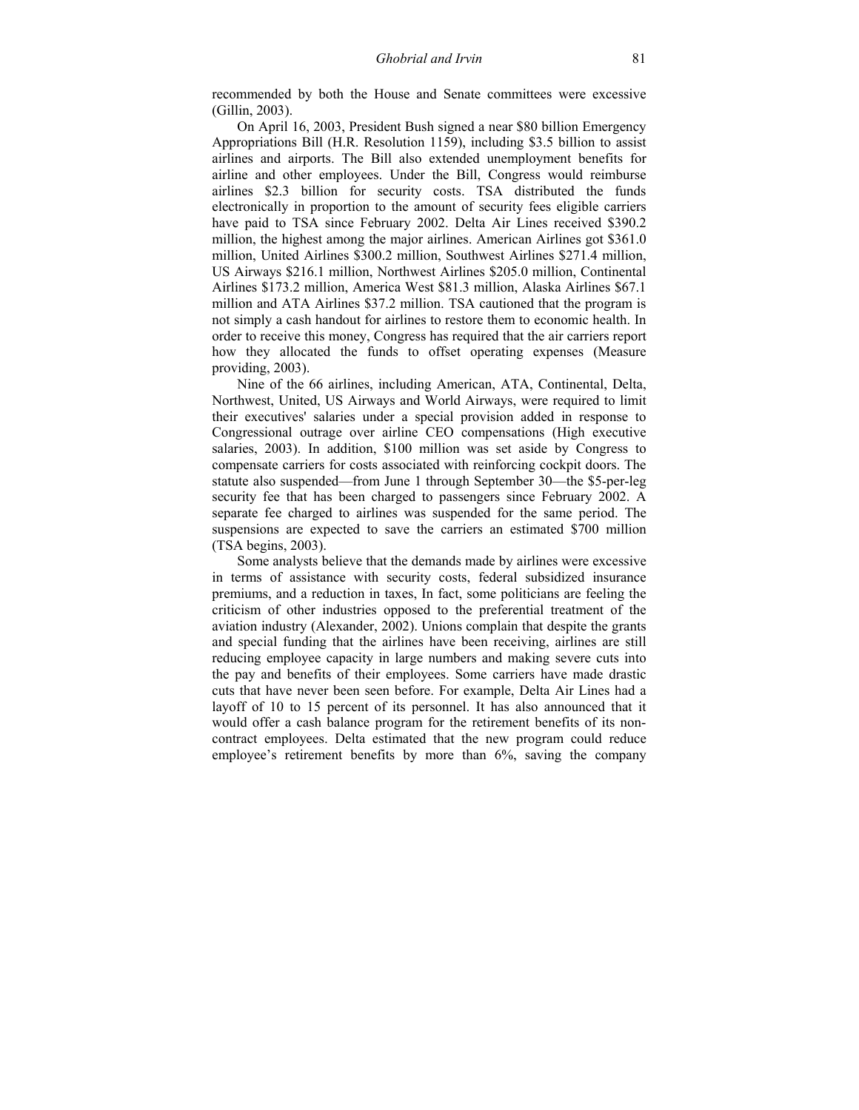recommended by both the House and Senate committees were excessive (Gillin, 2003).

On April 16, 2003, President Bush signed a near \$80 billion Emergency Appropriations Bill (H.R. Resolution 1159), including \$3.5 billion to assist airlines and airports. The Bill also extended unemployment benefits for airline and other employees. Under the Bill, Congress would reimburse airlines \$2.3 billion for security costs. TSA distributed the funds electronically in proportion to the amount of security fees eligible carriers have paid to TSA since February 2002. Delta Air Lines received \$390.2 million, the highest among the major airlines. American Airlines got \$361.0 million, United Airlines \$300.2 million, Southwest Airlines \$271.4 million, US Airways \$216.1 million, Northwest Airlines \$205.0 million, Continental Airlines \$173.2 million, America West \$81.3 million, Alaska Airlines \$67.1 million and ATA Airlines \$37.2 million. TSA cautioned that the program is not simply a cash handout for airlines to restore them to economic health. In order to receive this money, Congress has required that the air carriers report how they allocated the funds to offset operating expenses (Measure providing, 2003).

Nine of the 66 airlines, including American, ATA, Continental, Delta, Northwest, United, US Airways and World Airways, were required to limit their executives' salaries under a special provision added in response to Congressional outrage over airline CEO compensations (High executive salaries, 2003). In addition, \$100 million was set aside by Congress to compensate carriers for costs associated with reinforcing cockpit doors. The statute also suspended—from June 1 through September 30—the \$5-per-leg security fee that has been charged to passengers since February 2002. A separate fee charged to airlines was suspended for the same period. The suspensions are expected to save the carriers an estimated \$700 million (TSA begins, 2003).

Some analysts believe that the demands made by airlines were excessive in terms of assistance with security costs, federal subsidized insurance premiums, and a reduction in taxes, In fact, some politicians are feeling the criticism of other industries opposed to the preferential treatment of the aviation industry (Alexander, 2002). Unions complain that despite the grants and special funding that the airlines have been receiving, airlines are still reducing employee capacity in large numbers and making severe cuts into the pay and benefits of their employees. Some carriers have made drastic cuts that have never been seen before. For example, Delta Air Lines had a layoff of 10 to 15 percent of its personnel. It has also announced that it would offer a cash balance program for the retirement benefits of its noncontract employees. Delta estimated that the new program could reduce employee's retirement benefits by more than 6%, saving the company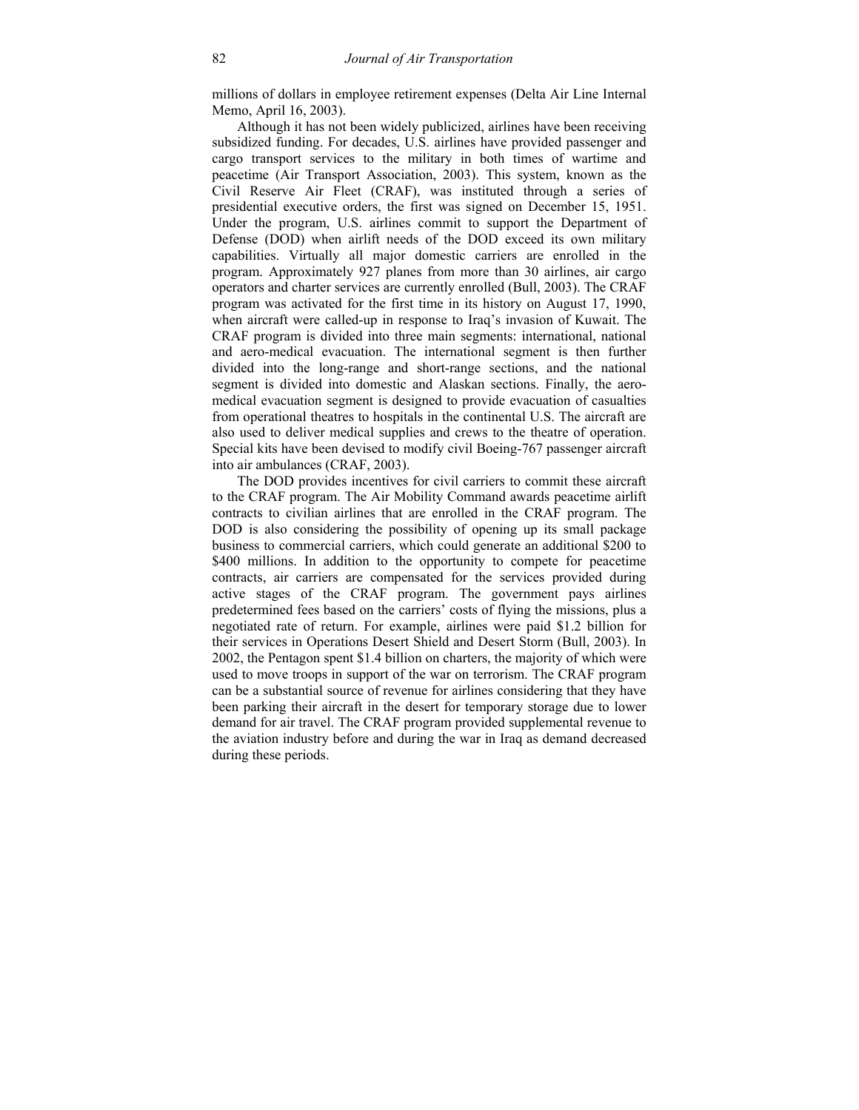millions of dollars in employee retirement expenses (Delta Air Line Internal Memo, April 16, 2003).

Although it has not been widely publicized, airlines have been receiving subsidized funding. For decades, U.S. airlines have provided passenger and cargo transport services to the military in both times of wartime and peacetime (Air Transport Association, 2003). This system, known as the Civil Reserve Air Fleet (CRAF), was instituted through a series of presidential executive orders, the first was signed on December 15, 1951. Under the program, U.S. airlines commit to support the Department of Defense (DOD) when airlift needs of the DOD exceed its own military capabilities. Virtually all major domestic carriers are enrolled in the program. Approximately 927 planes from more than 30 airlines, air cargo operators and charter services are currently enrolled (Bull, 2003). The CRAF program was activated for the first time in its history on August 17, 1990, when aircraft were called-up in response to Iraq's invasion of Kuwait. The CRAF program is divided into three main segments: international, national and aero-medical evacuation. The international segment is then further divided into the long-range and short-range sections, and the national segment is divided into domestic and Alaskan sections. Finally, the aeromedical evacuation segment is designed to provide evacuation of casualties from operational theatres to hospitals in the continental U.S. The aircraft are also used to deliver medical supplies and crews to the theatre of operation. Special kits have been devised to modify civil Boeing-767 passenger aircraft into air ambulances (CRAF, 2003).

The DOD provides incentives for civil carriers to commit these aircraft to the CRAF program. The Air Mobility Command awards peacetime airlift contracts to civilian airlines that are enrolled in the CRAF program. The DOD is also considering the possibility of opening up its small package business to commercial carriers, which could generate an additional \$200 to \$400 millions. In addition to the opportunity to compete for peacetime contracts, air carriers are compensated for the services provided during active stages of the CRAF program. The government pays airlines predetermined fees based on the carriers' costs of flying the missions, plus a negotiated rate of return. For example, airlines were paid \$1.2 billion for their services in Operations Desert Shield and Desert Storm (Bull, 2003). In 2002, the Pentagon spent \$1.4 billion on charters, the majority of which were used to move troops in support of the war on terrorism. The CRAF program can be a substantial source of revenue for airlines considering that they have been parking their aircraft in the desert for temporary storage due to lower demand for air travel. The CRAF program provided supplemental revenue to the aviation industry before and during the war in Iraq as demand decreased during these periods.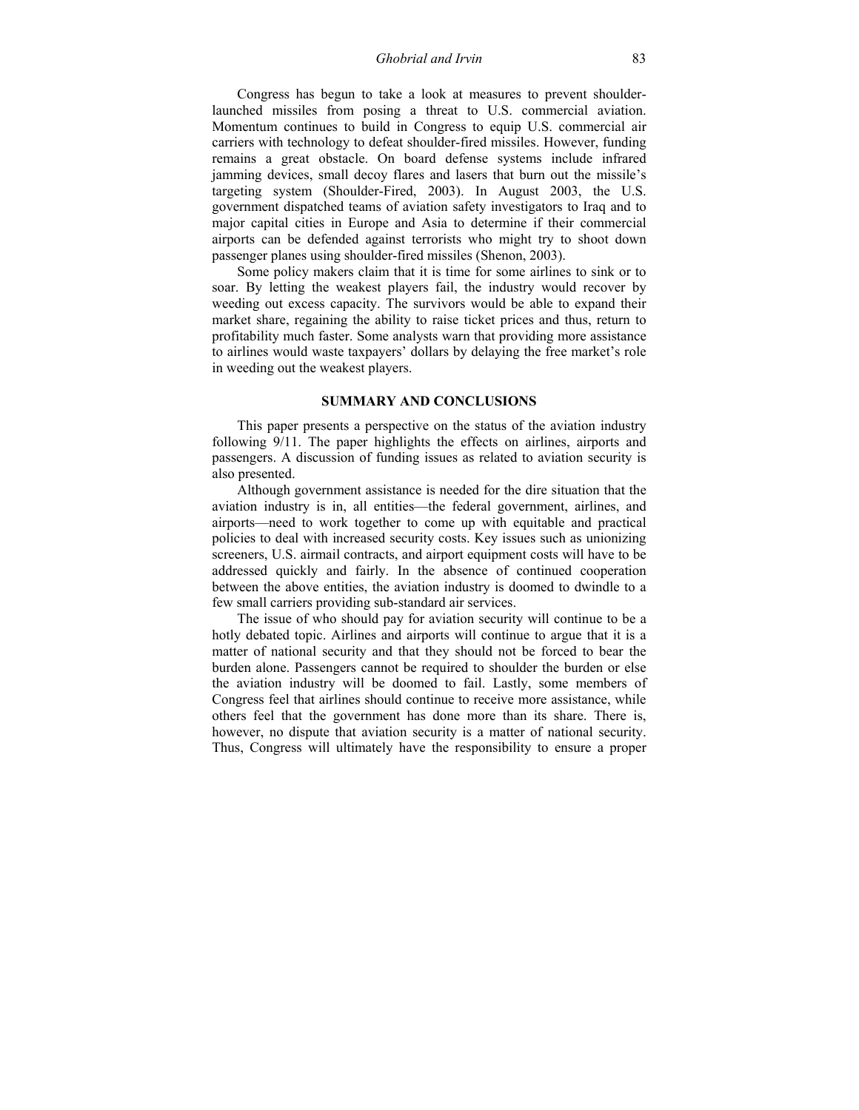*Ghobrial and Irvin* 83

Congress has begun to take a look at measures to prevent shoulderlaunched missiles from posing a threat to U.S. commercial aviation. Momentum continues to build in Congress to equip U.S. commercial air carriers with technology to defeat shoulder-fired missiles. However, funding remains a great obstacle. On board defense systems include infrared jamming devices, small decoy flares and lasers that burn out the missile's targeting system (Shoulder-Fired, 2003). In August 2003, the U.S. government dispatched teams of aviation safety investigators to Iraq and to major capital cities in Europe and Asia to determine if their commercial airports can be defended against terrorists who might try to shoot down passenger planes using shoulder-fired missiles (Shenon, 2003).

Some policy makers claim that it is time for some airlines to sink or to soar. By letting the weakest players fail, the industry would recover by weeding out excess capacity. The survivors would be able to expand their market share, regaining the ability to raise ticket prices and thus, return to profitability much faster. Some analysts warn that providing more assistance to airlines would waste taxpayers' dollars by delaying the free market's role in weeding out the weakest players.

## **SUMMARY AND CONCLUSIONS**

This paper presents a perspective on the status of the aviation industry following 9/11. The paper highlights the effects on airlines, airports and passengers. A discussion of funding issues as related to aviation security is also presented.

Although government assistance is needed for the dire situation that the aviation industry is in, all entities—the federal government, airlines, and airports—need to work together to come up with equitable and practical policies to deal with increased security costs. Key issues such as unionizing screeners, U.S. airmail contracts, and airport equipment costs will have to be addressed quickly and fairly. In the absence of continued cooperation between the above entities, the aviation industry is doomed to dwindle to a few small carriers providing sub-standard air services.

The issue of who should pay for aviation security will continue to be a hotly debated topic. Airlines and airports will continue to argue that it is a matter of national security and that they should not be forced to bear the burden alone. Passengers cannot be required to shoulder the burden or else the aviation industry will be doomed to fail. Lastly, some members of Congress feel that airlines should continue to receive more assistance, while others feel that the government has done more than its share. There is, however, no dispute that aviation security is a matter of national security. Thus, Congress will ultimately have the responsibility to ensure a proper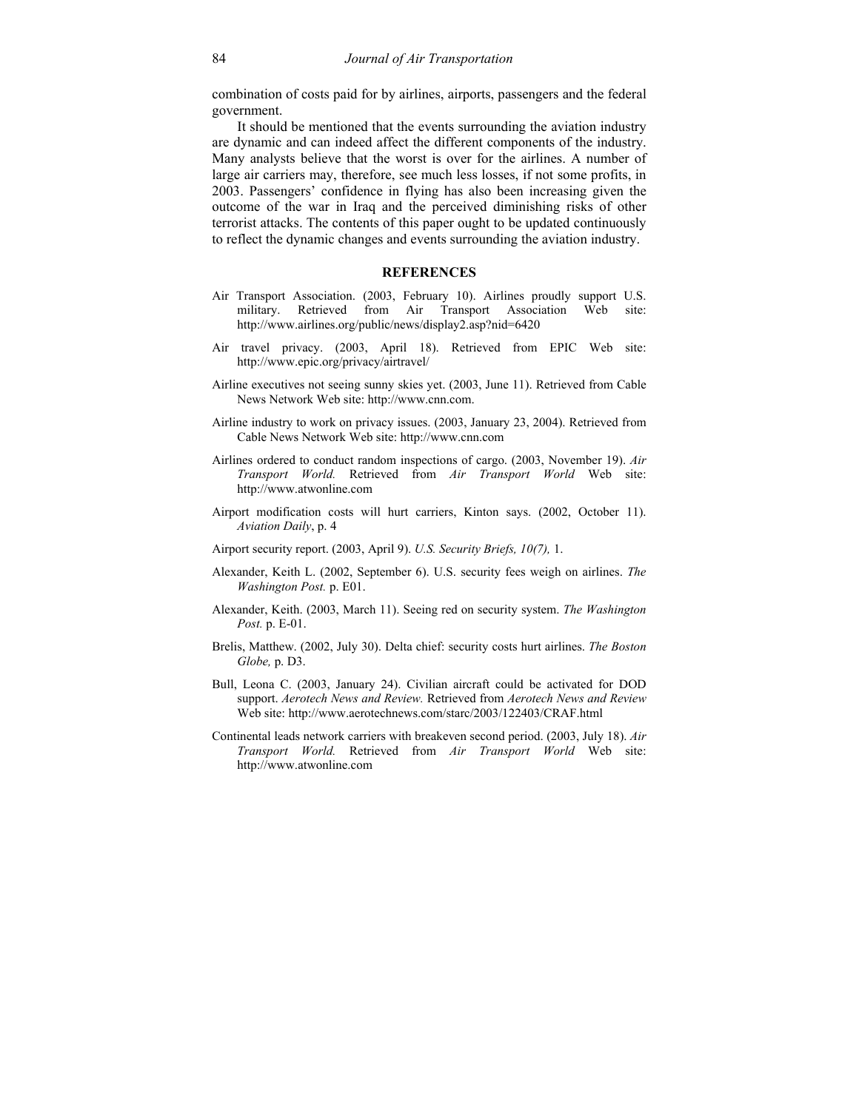combination of costs paid for by airlines, airports, passengers and the federal government.

It should be mentioned that the events surrounding the aviation industry are dynamic and can indeed affect the different components of the industry. Many analysts believe that the worst is over for the airlines. A number of large air carriers may, therefore, see much less losses, if not some profits, in 2003. Passengers' confidence in flying has also been increasing given the outcome of the war in Iraq and the perceived diminishing risks of other terrorist attacks. The contents of this paper ought to be updated continuously to reflect the dynamic changes and events surrounding the aviation industry.

#### **REFERENCES**

- Air Transport Association. (2003, February 10). Airlines proudly support U.S. military. Retrieved from Air Transport Association Web site: http://www.airlines.org/public/news/display2.asp?nid=6420
- Air travel privacy. (2003, April 18). Retrieved from EPIC Web site: http://www.epic.org/privacy/airtravel/
- Airline executives not seeing sunny skies yet. (2003, June 11). Retrieved from Cable News Network Web site: http://www.cnn.com.
- Airline industry to work on privacy issues. (2003, January 23, 2004). Retrieved from Cable News Network Web site: http://www.cnn.com
- Airlines ordered to conduct random inspections of cargo. (2003, November 19). *Air Transport World.* Retrieved from *Air Transport World* Web site: http://www.atwonline.com
- Airport modification costs will hurt carriers, Kinton says. (2002, October 11). *Aviation Daily*, p. 4
- Airport security report. (2003, April 9). *U.S. Security Briefs, 10(7),* 1.
- Alexander, Keith L. (2002, September 6). U.S. security fees weigh on airlines. *The Washington Post.* p. E01.
- Alexander, Keith. (2003, March 11). Seeing red on security system. *The Washington Post.* p. E-01.
- Brelis, Matthew. (2002, July 30). Delta chief: security costs hurt airlines. *The Boston Globe,* p. D3.
- Bull, Leona C. (2003, January 24). Civilian aircraft could be activated for DOD support. *Aerotech News and Review.* Retrieved from *Aerotech News and Review* Web site: http://www.aerotechnews.com/starc/2003/122403/CRAF.html
- Continental leads network carriers with breakeven second period. (2003, July 18). *Air Transport World.* Retrieved from *Air Transport World* Web site: http://www.atwonline.com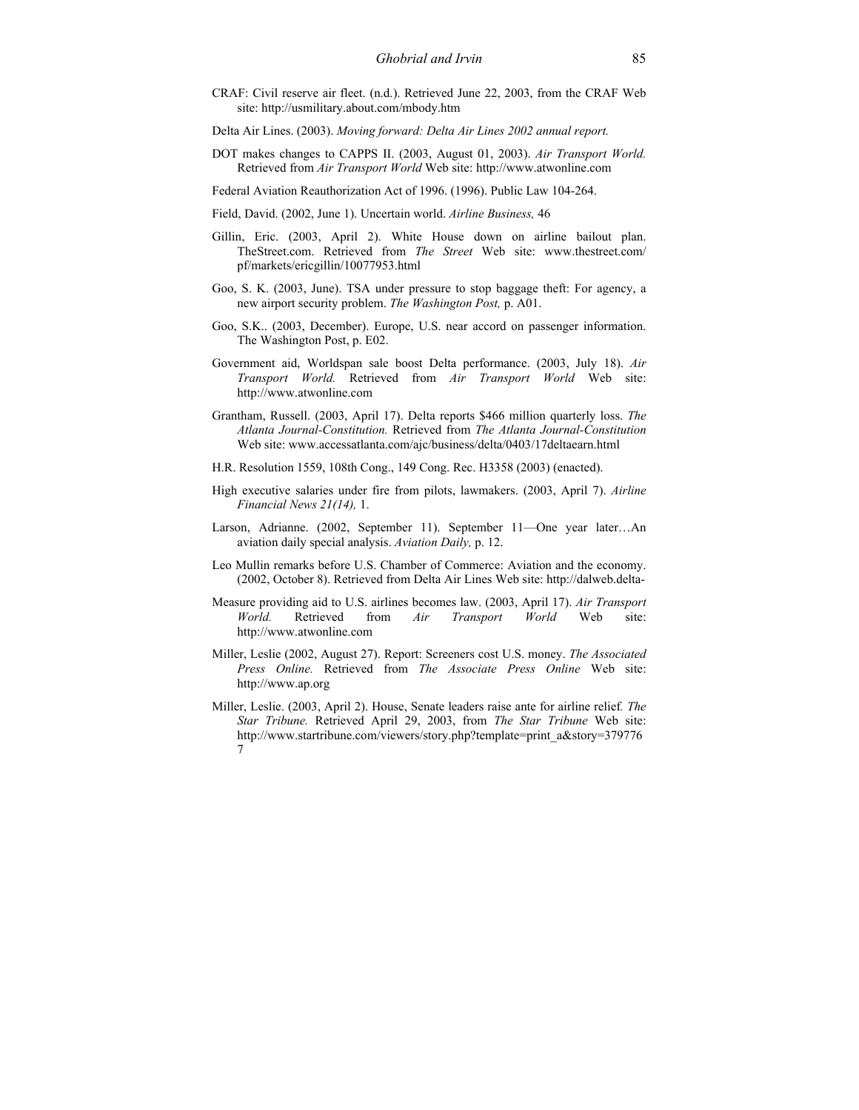- CRAF: Civil reserve air fleet. (n.d.). Retrieved June 22, 2003, from the CRAF Web site: http://usmilitary.about.com/mbody.htm
- Delta Air Lines. (2003). *Moving forward: Delta Air Lines 2002 annual report.*
- DOT makes changes to CAPPS II. (2003, August 01, 2003). *Air Transport World.* Retrieved from *Air Transport World* Web site: http://www.atwonline.com

Federal Aviation Reauthorization Act of 1996. (1996). Public Law 104-264.

- Field, David. (2002, June 1). Uncertain world. *Airline Business,* 46
- Gillin, Eric. (2003, April 2). White House down on airline bailout plan. TheStreet.com. Retrieved from *The Street* Web site: www.thestreet.com/ pf/markets/ericgillin/10077953.html
- Goo, S. K. (2003, June). TSA under pressure to stop baggage theft: For agency, a new airport security problem. *The Washington Post,* p. A01.
- Goo, S.K.. (2003, December). Europe, U.S. near accord on passenger information. The Washington Post, p. E02.
- Government aid, Worldspan sale boost Delta performance. (2003, July 18). *Air Transport World.* Retrieved from *Air Transport World* Web site: http://www.atwonline.com
- Grantham, Russell. (2003, April 17). Delta reports \$466 million quarterly loss. *The Atlanta Journal-Constitution.* Retrieved from *The Atlanta Journal-Constitution* Web site: www.accessatlanta.com/ajc/business/delta/0403/17deltaearn.html
- H.R. Resolution 1559, 108th Cong., 149 Cong. Rec. H3358 (2003) (enacted).
- High executive salaries under fire from pilots, lawmakers. (2003, April 7). *Airline Financial News 21(14),* 1.
- Larson, Adrianne. (2002, September 11). September 11—One year later…An aviation daily special analysis. *Aviation Daily,* p. 12.
- Leo Mullin remarks before U.S. Chamber of Commerce: Aviation and the economy. (2002, October 8). Retrieved from Delta Air Lines Web site: http://dalweb.delta-
- Measure providing aid to U.S. airlines becomes law. (2003, April 17). *Air Transport World.* Retrieved from *Air Transport World* Web site: http://www.atwonline.com
- Miller, Leslie (2002, August 27). Report: Screeners cost U.S. money. *The Associated Press Online.* Retrieved from *The Associate Press Online* Web site: http://www.ap.org
- Miller, Leslie. (2003, April 2). House, Senate leaders raise ante for airline relief*. The Star Tribune.* Retrieved April 29, 2003, from *The Star Tribune* Web site: http://www.startribune.com/viewers/story.php?template=print\_a&story=379776 7